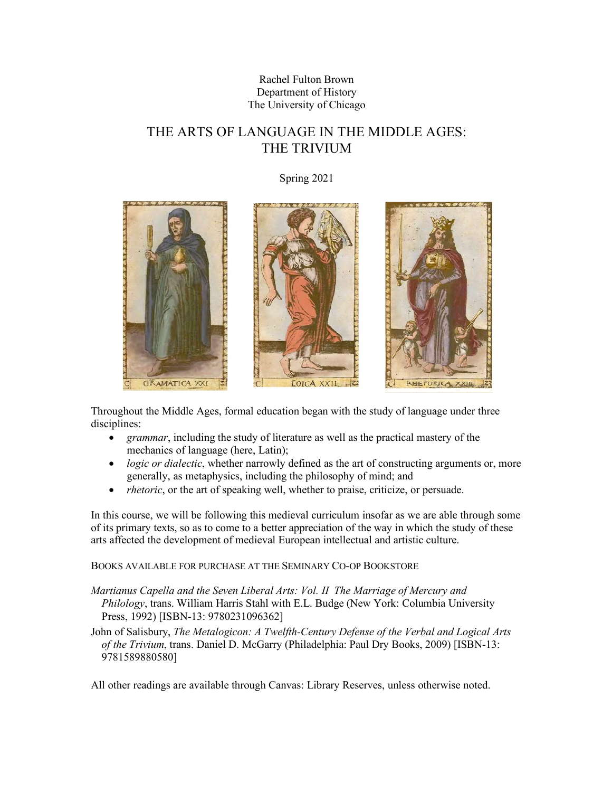# Rachel Fulton Brown Department of History The University of Chicago

# THE ARTS OF LANGUAGE IN THE MIDDLE AGES: THE TRIVIUM

Spring 2021



Throughout the Middle Ages, formal education began with the study of language under three disciplines:

- *grammar*, including the study of literature as well as the practical mastery of the mechanics of language (here, Latin);
- *logic or dialectic*, whether narrowly defined as the art of constructing arguments or, more generally, as metaphysics, including the philosophy of mind; and
- *rhetoric*, or the art of speaking well, whether to praise, criticize, or persuade.

In this course, we will be following this medieval curriculum insofar as we are able through some of its primary texts, so as to come to a better appreciation of the way in which the study of these arts affected the development of medieval European intellectual and artistic culture.

BOOKS AVAILABLE FOR PURCHASE AT THE SEMINARY CO-OP BOOKSTORE

*Martianus Capella and the Seven Liberal Arts: Vol. II The Marriage of Mercury and Philology*, trans. William Harris Stahl with E.L. Budge (New York: Columbia University Press, 1992) [ISBN-13: 9780231096362]

John of Salisbury, *The Metalogicon: A Twelfth-Century Defense of the Verbal and Logical Arts of the Trivium*, trans. Daniel D. McGarry (Philadelphia: Paul Dry Books, 2009) [ISBN-13: 9781589880580]

All other readings are available through Canvas: Library Reserves, unless otherwise noted.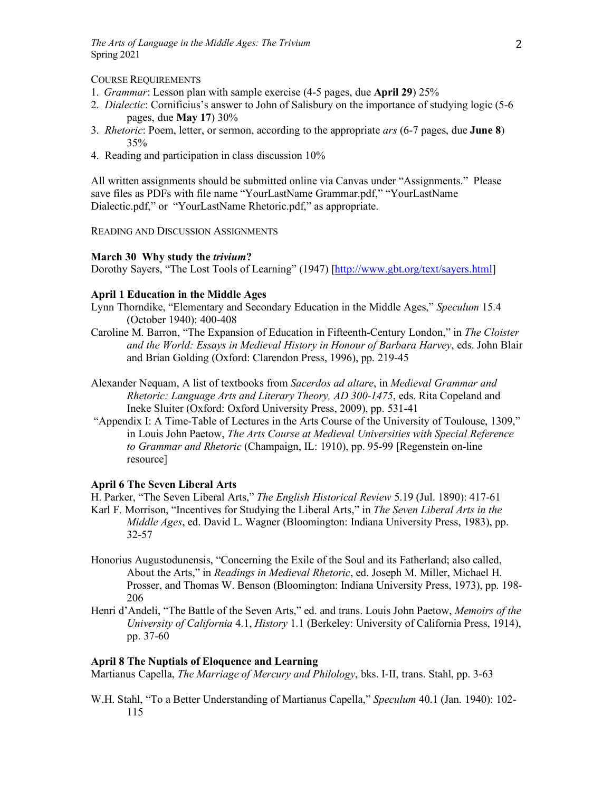## COURSE REQUIREMENTS

- 1. *Grammar*: Lesson plan with sample exercise (4-5 pages, due **April 29**) 25%
- 2. *Dialectic*: Cornificius's answer to John of Salisbury on the importance of studying logic (5-6 pages, due **May 17**) 30%
- 3. *Rhetoric*: Poem, letter, or sermon, according to the appropriate *ars* (6-7 pages, due **June 8**) 35%
- 4. Reading and participation in class discussion 10%

All written assignments should be submitted online via Canvas under "Assignments." Please save files as PDFs with file name "YourLastName Grammar.pdf," "YourLastName Dialectic.pdf," or "YourLastName Rhetoric.pdf," as appropriate.

READING AND DISCUSSION ASSIGNMENTS

## **March 30 Why study the** *trivium***?**

Dorothy Sayers, "The Lost Tools of Learning" (1947) [http://www.gbt.org/text/sayers.html]

## **April 1 Education in the Middle Ages**

- Lynn Thorndike, "Elementary and Secondary Education in the Middle Ages," *Speculum* 15.4 (October 1940): 400-408
- Caroline M. Barron, "The Expansion of Education in Fifteenth-Century London," in *The Cloister and the World: Essays in Medieval History in Honour of Barbara Harvey*, eds. John Blair and Brian Golding (Oxford: Clarendon Press, 1996), pp. 219-45
- Alexander Nequam, A list of textbooks from *Sacerdos ad altare*, in *Medieval Grammar and Rhetoric: Language Arts and Literary Theory, AD 300-1475*, eds. Rita Copeland and Ineke Sluiter (Oxford: Oxford University Press, 2009), pp. 531-41
- "Appendix I: A Time-Table of Lectures in the Arts Course of the University of Toulouse, 1309," in Louis John Paetow, *The Arts Course at Medieval Universities with Special Reference to Grammar and Rhetoric* (Champaign, IL: 1910), pp. 95-99 [Regenstein on-line resource]

# **April 6 The Seven Liberal Arts**

H. Parker, "The Seven Liberal Arts," *The English Historical Review* 5.19 (Jul. 1890): 417-61 Karl F. Morrison, "Incentives for Studying the Liberal Arts," in *The Seven Liberal Arts in the Middle Ages*, ed. David L. Wagner (Bloomington: Indiana University Press, 1983), pp. 32-57

- Honorius Augustodunensis, "Concerning the Exile of the Soul and its Fatherland; also called, About the Arts," in *Readings in Medieval Rhetoric*, ed. Joseph M. Miller, Michael H. Prosser, and Thomas W. Benson (Bloomington: Indiana University Press, 1973), pp. 198- 206
- Henri d'Andeli, "The Battle of the Seven Arts," ed. and trans. Louis John Paetow, *Memoirs of the University of California* 4.1, *History* 1.1 (Berkeley: University of California Press, 1914), pp. 37-60

#### **April 8 The Nuptials of Eloquence and Learning**

Martianus Capella, *The Marriage of Mercury and Philology*, bks. I-II, trans. Stahl, pp. 3-63

W.H. Stahl, "To a Better Understanding of Martianus Capella," *Speculum* 40.1 (Jan. 1940): 102- 115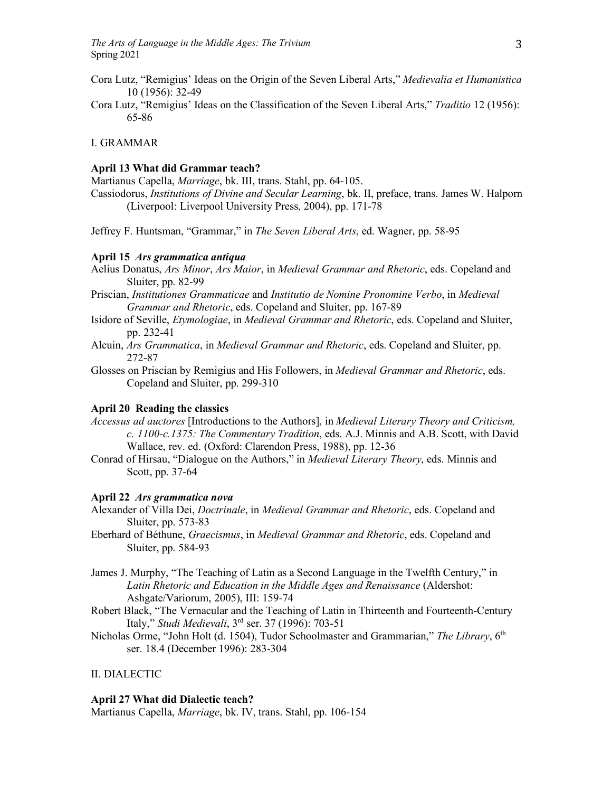- Cora Lutz, "Remigius' Ideas on the Origin of the Seven Liberal Arts," *Medievalia et Humanistica* 10 (1956): 32-49
- Cora Lutz, "Remigius' Ideas on the Classification of the Seven Liberal Arts," *Traditio* 12 (1956): 65-86

## I. GRAMMAR

#### **April 13 What did Grammar teach?**

Martianus Capella, *Marriage*, bk. III, trans. Stahl, pp. 64-105.

Cassiodorus, *Institutions of Divine and Secular Learning*, bk. II, preface, trans. James W. Halporn (Liverpool: Liverpool University Press, 2004), pp. 171-78

Jeffrey F. Huntsman, "Grammar," in *The Seven Liberal Arts*, ed. Wagner, pp. 58-95

#### **April 15** *Ars grammatica antiqua*

Aelius Donatus, *Ars Minor*, *Ars Maior*, in *Medieval Grammar and Rhetoric*, eds. Copeland and Sluiter, pp. 82-99

Priscian, *Institutiones Grammaticae* and *Institutio de Nomine Pronomine Verbo*, in *Medieval Grammar and Rhetoric*, eds. Copeland and Sluiter, pp. 167-89

- Isidore of Seville, *Etymologiae*, in *Medieval Grammar and Rhetoric*, eds. Copeland and Sluiter, pp. 232-41
- Alcuin, *Ars Grammatica*, in *Medieval Grammar and Rhetoric*, eds. Copeland and Sluiter, pp. 272-87

Glosses on Priscian by Remigius and His Followers, in *Medieval Grammar and Rhetoric*, eds. Copeland and Sluiter, pp. 299-310

## **April 20 Reading the classics**

- *Accessus ad auctores* [Introductions to the Authors], in *Medieval Literary Theory and Criticism, c. 1100-c.1375: The Commentary Tradition*, eds. A.J. Minnis and A.B. Scott, with David Wallace, rev. ed. (Oxford: Clarendon Press, 1988), pp. 12-36
- Conrad of Hirsau, "Dialogue on the Authors," in *Medieval Literary Theory*, eds. Minnis and Scott, pp. 37-64

#### **April 22** *Ars grammatica nova*

- Alexander of Villa Dei, *Doctrinale*, in *Medieval Grammar and Rhetoric*, eds. Copeland and Sluiter, pp. 573-83
- Eberhard of Béthune, *Graecismus*, in *Medieval Grammar and Rhetoric*, eds. Copeland and Sluiter, pp. 584-93
- James J. Murphy, "The Teaching of Latin as a Second Language in the Twelfth Century," in *Latin Rhetoric and Education in the Middle Ages and Renaissance* (Aldershot: Ashgate/Variorum, 2005), III: 159-74
- Robert Black, "The Vernacular and the Teaching of Latin in Thirteenth and Fourteenth-Century Italy," *Studi Medievali*, 3rd ser. 37 (1996): 703-51
- Nicholas Orme, "John Holt (d. 1504), Tudor Schoolmaster and Grammarian," *The Library*, 6th ser. 18.4 (December 1996): 283-304

#### II. DIALECTIC

#### **April 27 What did Dialectic teach?**

Martianus Capella, *Marriage*, bk. IV, trans. Stahl, pp. 106-154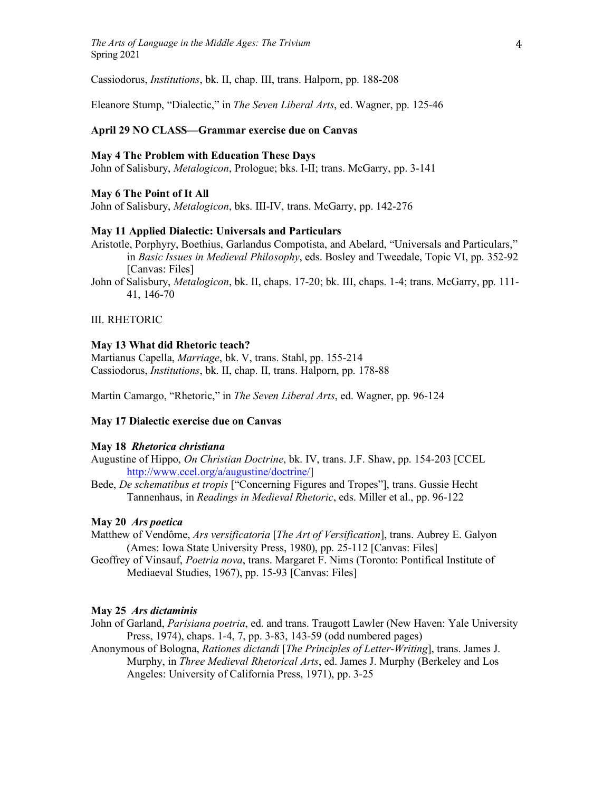Cassiodorus, *Institutions*, bk. II, chap. III, trans. Halporn, pp. 188-208

Eleanore Stump, "Dialectic," in *The Seven Liberal Arts*, ed. Wagner, pp. 125-46

## **April 29 NO CLASS—Grammar exercise due on Canvas**

#### **May 4 The Problem with Education These Days**

John of Salisbury, *Metalogicon*, Prologue; bks. I-II; trans. McGarry, pp. 3-141

## **May 6 The Point of It All**

John of Salisbury, *Metalogicon*, bks. III-IV, trans. McGarry, pp. 142-276

## **May 11 Applied Dialectic: Universals and Particulars**

Aristotle, Porphyry, Boethius, Garlandus Compotista, and Abelard, "Universals and Particulars," in *Basic Issues in Medieval Philosophy*, eds. Bosley and Tweedale, Topic VI, pp. 352-92 [Canvas: Files]

John of Salisbury, *Metalogicon*, bk. II, chaps. 17-20; bk. III, chaps. 1-4; trans. McGarry, pp. 111- 41, 146-70

## III. RHETORIC

#### **May 13 What did Rhetoric teach?**

Martianus Capella, *Marriage*, bk. V, trans. Stahl, pp. 155-214 Cassiodorus, *Institutions*, bk. II, chap. II, trans. Halporn, pp. 178-88

Martin Camargo, "Rhetoric," in *The Seven Liberal Arts*, ed. Wagner, pp. 96-124

## **May 17 Dialectic exercise due on Canvas**

#### **May 18** *Rhetorica christiana*

- Augustine of Hippo, *On Christian Doctrine*, bk. IV, trans. J.F. Shaw, pp. 154-203 [CCEL http://www.ccel.org/a/augustine/doctrine/]
- Bede, *De schematibus et tropis* ["Concerning Figures and Tropes"], trans. Gussie Hecht Tannenhaus, in *Readings in Medieval Rhetoric*, eds. Miller et al., pp. 96-122

## **May 20** *Ars poetica*

Matthew of Vendôme, *Ars versificatoria* [*The Art of Versification*], trans. Aubrey E. Galyon (Ames: Iowa State University Press, 1980), pp. 25-112 [Canvas: Files]

Geoffrey of Vinsauf, *Poetria nova*, trans. Margaret F. Nims (Toronto: Pontifical Institute of Mediaeval Studies, 1967), pp. 15-93 [Canvas: Files]

#### **May 25** *Ars dictaminis*

- John of Garland, *Parisiana poetria*, ed. and trans. Traugott Lawler (New Haven: Yale University Press, 1974), chaps. 1-4, 7, pp. 3-83, 143-59 (odd numbered pages)
- Anonymous of Bologna, *Rationes dictandi* [*The Principles of Letter-Writing*], trans. James J. Murphy, in *Three Medieval Rhetorical Arts*, ed. James J. Murphy (Berkeley and Los Angeles: University of California Press, 1971), pp. 3-25